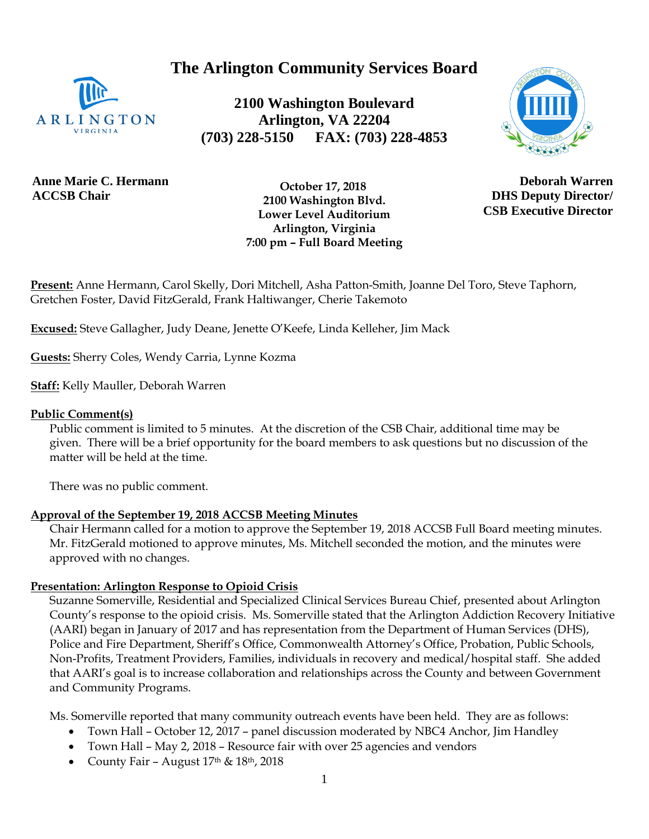**The Arlington Community Services Board**



**2100 Washington Boulevard Arlington, VA 22204 (703) 228-5150 FAX: (703) 228-4853**



**Anne Marie C. Hermann ACCSB Chair**

 **October 17, 2018 2100 Washington Blvd. Lower Level Auditorium Arlington, Virginia 7:00 pm – Full Board Meeting**

**Deborah Warren DHS Deputy Director/ CSB Executive Director**

**Present:** Anne Hermann, Carol Skelly, Dori Mitchell, Asha Patton-Smith, Joanne Del Toro, Steve Taphorn, Gretchen Foster, David FitzGerald, Frank Haltiwanger, Cherie Takemoto

**Excused:** Steve Gallagher, Judy Deane, Jenette O'Keefe, Linda Kelleher, Jim Mack

**Guests:** Sherry Coles, Wendy Carria, Lynne Kozma

**Staff:** Kelly Mauller, Deborah Warren

#### **Public Comment(s)**

Public comment is limited to 5 minutes. At the discretion of the CSB Chair, additional time may be given. There will be a brief opportunity for the board members to ask questions [but](http://but.no/) no discussion of the matter will be held at the time.

There was no public comment.

## **Approval of the September 19, 2018 ACCSB Meeting Minutes**

Chair Hermann called for a motion to approve the September 19, 2018 ACCSB Full Board meeting minutes. Mr. FitzGerald motioned to approve minutes, Ms. Mitchell seconded the motion, and the minutes were approved with no changes.

## **Presentation: Arlington Response to Opioid Crisis**

Suzanne Somerville, Residential and Specialized Clinical Services Bureau Chief, presented about Arlington County's response to the opioid crisis. Ms. Somerville stated that the Arlington Addiction Recovery Initiative (AARI) began in January of 2017 and has representation from the Department of Human Services (DHS), Police and Fire Department, Sheriff's Office, Commonwealth Attorney's Office, Probation, Public Schools, Non-Profits, Treatment Providers, Families, individuals in recovery and medical/hospital staff. She added that AARI's goal is to increase collaboration and relationships across the County and between Government and Community Programs.

Ms. Somerville reported that many community outreach events have been held. They are as follows:

- Town Hall October 12, 2017 panel discussion moderated by NBC4 Anchor, Jim Handley
- Town Hall May 2, 2018 Resource fair with over 25 agencies and vendors
- County Fair August  $17<sup>th</sup>$  &  $18<sup>th</sup>$ ,  $2018$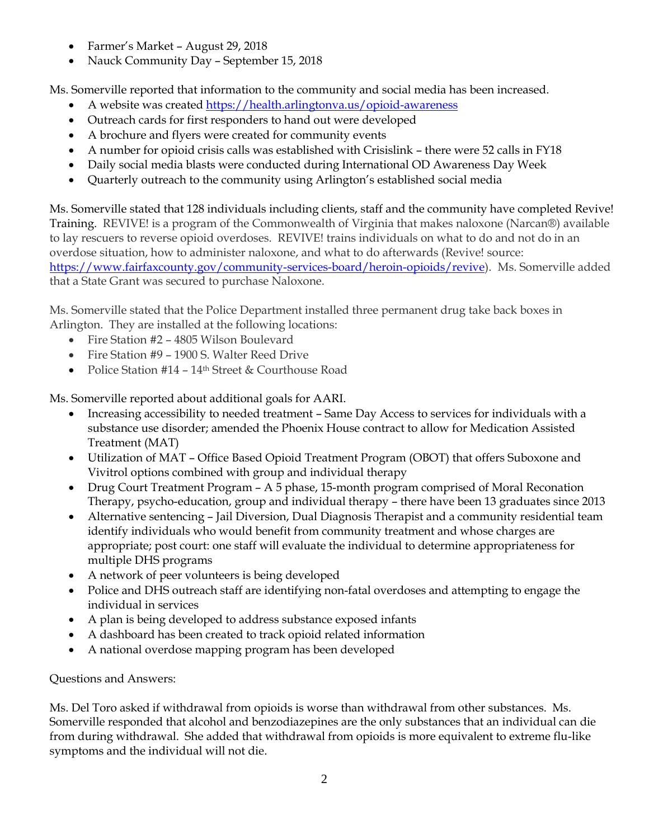- Farmer's Market August 29, 2018
- Nauck Community Day September 15, 2018

Ms. Somerville reported that information to the community and social media has been increased.

- A website was created<https://health.arlingtonva.us/opioid-awareness>
- Outreach cards for first responders to hand out were developed
- A brochure and flyers were created for community events
- A number for opioid crisis calls was established with Crisislink there were 52 calls in FY18
- Daily social media blasts were conducted during International OD Awareness Day Week
- Quarterly outreach to the community using Arlington's established social media

Ms. Somerville stated that 128 individuals including clients, staff and the community have completed Revive! Training. REVIVE! is a program of the Commonwealth of Virginia that makes naloxone (Narcan®) available to lay rescuers to reverse opioid overdoses. REVIVE! trains individuals on what to do and not do in an overdose situation, how to administer naloxone, and what to do afterwards (Revive! source: [https://www.fairfaxcounty.gov/community-services-board/heroin-opioids/revive\)](https://www.fairfaxcounty.gov/community-services-board/heroin-opioids/revive). Ms. Somerville added that a State Grant was secured to purchase Naloxone.

Ms. Somerville stated that the Police Department installed three permanent drug take back boxes in Arlington. They are installed at the following locations:

- Fire Station #2 4805 Wilson Boulevard
- Fire Station #9 1900 S. Walter Reed Drive
- Police Station #14 14<sup>th</sup> Street & Courthouse Road

Ms. Somerville reported about additional goals for AARI.

- Increasing accessibility to needed treatment Same Day Access to services for individuals with a substance use disorder; amended the Phoenix House contract to allow for Medication Assisted Treatment (MAT)
- Utilization of MAT Office Based Opioid Treatment Program (OBOT) that offers Suboxone and Vivitrol options combined with group and individual therapy
- Drug Court Treatment Program A 5 phase, 15-month program comprised of Moral Reconation Therapy, psycho-education, group and individual therapy – there have been 13 graduates since 2013
- Alternative sentencing Jail Diversion, Dual Diagnosis Therapist and a community residential team identify individuals who would benefit from community treatment and whose charges are appropriate; post court: one staff will evaluate the individual to determine appropriateness for multiple DHS programs
- A network of peer volunteers is being developed
- Police and DHS outreach staff are identifying non-fatal overdoses and attempting to engage the individual in services
- A plan is being developed to address substance exposed infants
- A dashboard has been created to track opioid related information
- A national overdose mapping program has been developed

# Questions and Answers:

Ms. Del Toro asked if withdrawal from opioids is worse than withdrawal from other substances. Ms. Somerville responded that alcohol and benzodiazepines are the only substances that an individual can die from during withdrawal. She added that withdrawal from opioids is more equivalent to extreme flu-like symptoms and the individual will not die.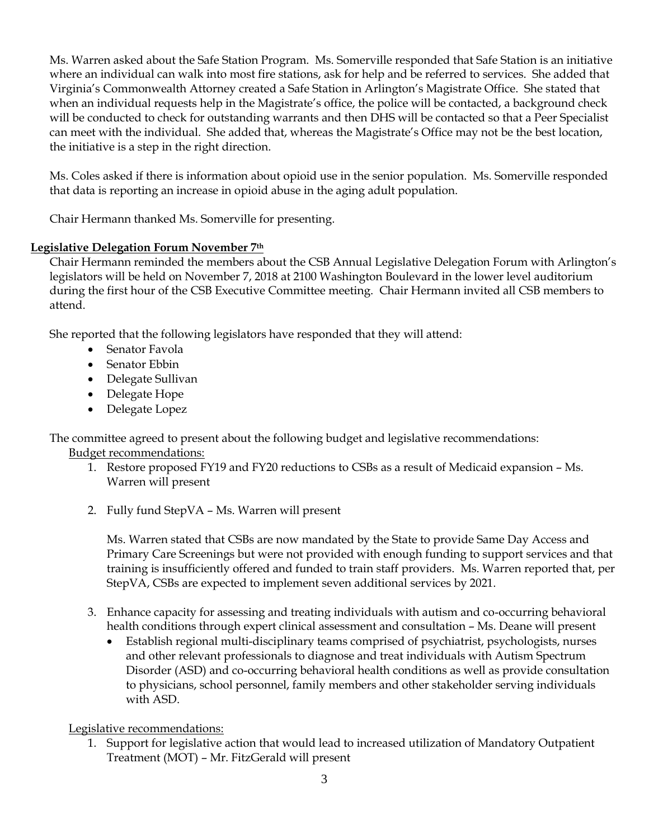Ms. Warren asked about the Safe Station Program. Ms. Somerville responded that Safe Station is an initiative where an individual can walk into most fire stations, ask for help and be referred to services. She added that Virginia's Commonwealth Attorney created a Safe Station in Arlington's Magistrate Office. She stated that when an individual requests help in the Magistrate's office, the police will be contacted, a background check will be conducted to check for outstanding warrants and then DHS will be contacted so that a Peer Specialist can meet with the individual. She added that, whereas the Magistrate's Office may not be the best location, the initiative is a step in the right direction.

Ms. Coles asked if there is information about opioid use in the senior population. Ms. Somerville responded that data is reporting an increase in opioid abuse in the aging adult population.

Chair Hermann thanked Ms. Somerville for presenting.

## **Legislative Delegation Forum November 7th**

Chair Hermann reminded the members about the CSB Annual Legislative Delegation Forum with Arlington's legislators will be held on November 7, 2018 at 2100 Washington Boulevard in the lower level auditorium during the first hour of the CSB Executive Committee meeting. Chair Hermann invited all CSB members to attend.

She reported that the following legislators have responded that they will attend:

- Senator Favola
- Senator Ebbin
- Delegate Sullivan
- Delegate Hope
- Delegate Lopez

The committee agreed to present about the following budget and legislative recommendations: Budget recommendations:

- 1. Restore proposed FY19 and FY20 reductions to CSBs as a result of Medicaid expansion Ms. Warren will present
- 2. Fully fund StepVA Ms. Warren will present

Ms. Warren stated that CSBs are now mandated by the State to provide Same Day Access and Primary Care Screenings but were not provided with enough funding to support services and that training is insufficiently offered and funded to train staff providers. Ms. Warren reported that, per StepVA, CSBs are expected to implement seven additional services by 2021.

- 3. Enhance capacity for assessing and treating individuals with autism and co-occurring behavioral health conditions through expert clinical assessment and consultation – Ms. Deane will present
	- Establish regional multi-disciplinary teams comprised of psychiatrist, psychologists, nurses and other relevant professionals to diagnose and treat individuals with Autism Spectrum Disorder (ASD) and co-occurring behavioral health conditions as well as provide consultation to physicians, school personnel, family members and other stakeholder serving individuals with ASD.

Legislative recommendations:

1. Support for legislative action that would lead to increased utilization of Mandatory Outpatient Treatment (MOT) – Mr. FitzGerald will present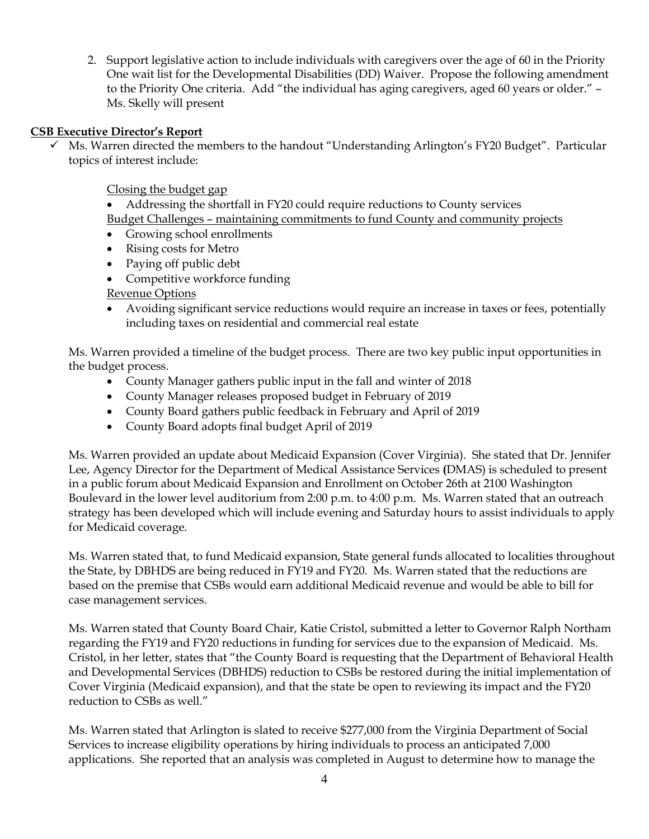2. Support legislative action to include individuals with caregivers over the age of 60 in the Priority One wait list for the Developmental Disabilities (DD) Waiver. Propose the following amendment to the Priority One criteria. Add "the individual has aging caregivers, aged 60 years or older." – Ms. Skelly will present

#### **CSB Executive Director's Report**

Ms. Warren directed the members to the handout "Understanding Arlington's FY20 Budget". Particular topics of interest include:

Closing the budget gap

• Addressing the shortfall in FY20 could require reductions to County services Budget Challenges – maintaining commitments to fund County and community projects

- Growing school enrollments
- Rising costs for Metro
- Paying off public debt
- Competitive workforce funding
- Revenue Options
- Avoiding significant service reductions would require an increase in taxes or fees, potentially including taxes on residential and commercial real estate

Ms. Warren provided a timeline of the budget process. There are two key public input opportunities in the budget process.

- County Manager gathers public input in the fall and winter of 2018
- County Manager releases proposed budget in February of 2019
- County Board gathers public feedback in February and April of 2019
- County Board adopts final budget April of 2019

Ms. Warren provided an update about Medicaid Expansion (Cover Virginia). She stated that Dr. Jennifer Lee, Agency Director for the Department of Medical Assistance Services **(**DMAS) is scheduled to present in a public forum about Medicaid Expansion and Enrollment on October 26th at 2100 Washington Boulevard in the lower level auditorium from 2:00 p.m. to 4:00 p.m. Ms. Warren stated that an outreach strategy has been developed which will include evening and Saturday hours to assist individuals to apply for Medicaid coverage.

Ms. Warren stated that, to fund Medicaid expansion, State general funds allocated to localities throughout the State, by DBHDS are being reduced in FY19 and FY20. Ms. Warren stated that the reductions are based on the premise that CSBs would earn additional Medicaid revenue and would be able to bill for case management services.

Ms. Warren stated that County Board Chair, Katie Cristol, submitted a letter to Governor Ralph Northam regarding the FY19 and FY20 reductions in funding for services due to the expansion of Medicaid. Ms. Cristol, in her letter, states that "the County Board is requesting that the Department of Behavioral Health and Developmental Services (DBHDS) reduction to CSBs be restored during the initial implementation of Cover Virginia (Medicaid expansion), and that the state be open to reviewing its impact and the FY20 reduction to CSBs as well."

Ms. Warren stated that Arlington is slated to receive \$277,000 from the Virginia Department of Social Services to increase eligibility operations by hiring individuals to process an anticipated 7,000 applications. She reported that an analysis was completed in August to determine how to manage the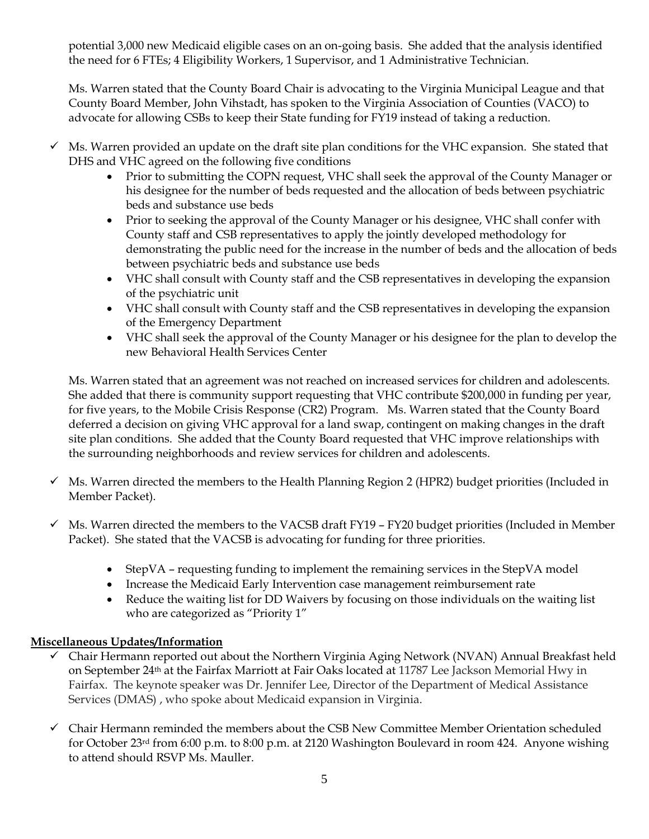potential 3,000 new Medicaid eligible cases on an on-going basis. She added that the analysis identified the need for 6 FTEs; 4 Eligibility Workers, 1 Supervisor, and 1 Administrative Technician.

Ms. Warren stated that the County Board Chair is advocating to the Virginia Municipal League and that County Board Member, John Vihstadt, has spoken to the Virginia Association of Counties (VACO) to advocate for allowing CSBs to keep their State funding for FY19 instead of taking a reduction.

- $\checkmark$  Ms. Warren provided an update on the draft site plan conditions for the VHC expansion. She stated that DHS and VHC agreed on the following five conditions
	- Prior to submitting the COPN request, VHC shall seek the approval of the County Manager or his designee for the number of beds requested and the allocation of beds between psychiatric beds and substance use beds
	- Prior to seeking the approval of the County Manager or his designee, VHC shall confer with County staff and CSB representatives to apply the jointly developed methodology for demonstrating the public need for the increase in the number of beds and the allocation of beds between psychiatric beds and substance use beds
	- VHC shall consult with County staff and the CSB representatives in developing the expansion of the psychiatric unit
	- VHC shall consult with County staff and the CSB representatives in developing the expansion of the Emergency Department
	- VHC shall seek the approval of the County Manager or his designee for the plan to develop the new Behavioral Health Services Center

Ms. Warren stated that an agreement was not reached on increased services for children and adolescents. She added that there is community support requesting that VHC contribute \$200,000 in funding per year, for five years, to the Mobile Crisis Response (CR2) Program. Ms. Warren stated that the County Board deferred a decision on giving VHC approval for a land swap, contingent on making changes in the draft site plan conditions. She added that the County Board requested that VHC improve relationships with the surrounding neighborhoods and review services for children and adolescents.

- $\checkmark$  Ms. Warren directed the members to the Health Planning Region 2 (HPR2) budget priorities (Included in Member Packet).
- ✓ Ms. Warren directed the members to the VACSB draft FY19 FY20 budget priorities (Included in Member Packet). She stated that the VACSB is advocating for funding for three priorities.
	- StepVA requesting funding to implement the remaining services in the StepVA model
	- Increase the Medicaid Early Intervention case management reimbursement rate
	- Reduce the waiting list for DD Waivers by focusing on those individuals on the waiting list who are categorized as "Priority 1"

## **Miscellaneous Updates/Information**

- ✓ Chair Hermann reported out about the Northern Virginia Aging Network (NVAN) Annual Breakfast held on September 24th at the Fairfax Marriott at Fair Oaks located at 11787 Lee Jackson Memorial Hwy in Fairfax. The keynote speaker was Dr. Jennifer Lee, Director of the Department of Medical Assistance Services (DMAS) , who spoke about Medicaid expansion in Virginia.
- $\checkmark$  Chair Hermann reminded the members about the CSB New Committee Member Orientation scheduled for October 23rd from 6:00 p.m. to 8:00 p.m. at 2120 Washington Boulevard in room 424. Anyone wishing to attend should RSVP Ms. Mauller.